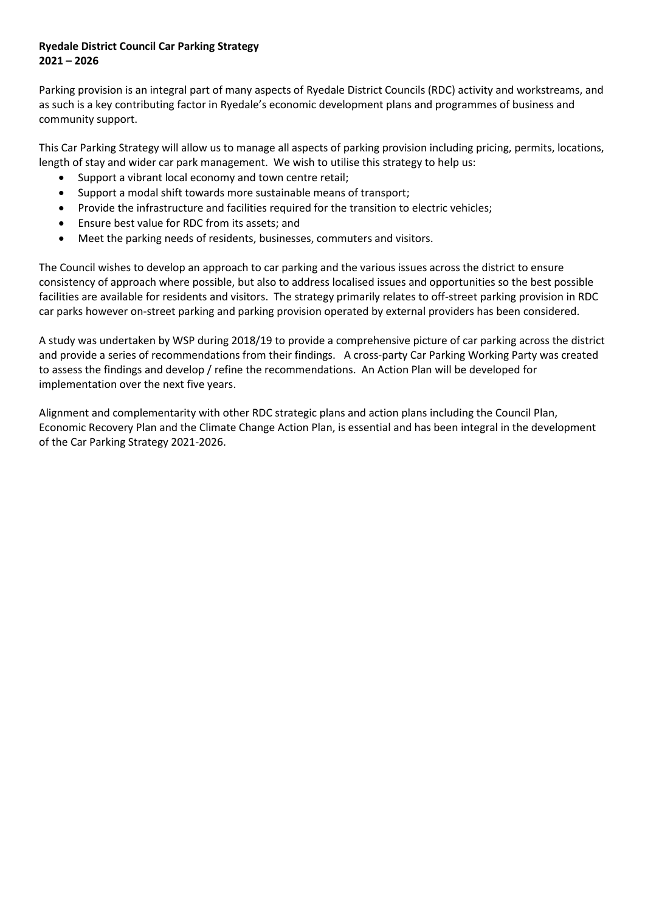# **Ryedale District Council Car Parking Strategy 2021 – 2026**

Parking provision is an integral part of many aspects of Ryedale District Councils (RDC) activity and workstreams, and as such is a key contributing factor in Ryedale's economic development plans and programmes of business and community support.

This Car Parking Strategy will allow us to manage all aspects of parking provision including pricing, permits, locations, length of stay and wider car park management. We wish to utilise this strategy to help us:

- Support a vibrant local economy and town centre retail;
- Support a modal shift towards more sustainable means of transport;
- Provide the infrastructure and facilities required for the transition to electric vehicles;
- Ensure best value for RDC from its assets; and
- Meet the parking needs of residents, businesses, commuters and visitors.

The Council wishes to develop an approach to car parking and the various issues across the district to ensure consistency of approach where possible, but also to address localised issues and opportunities so the best possible facilities are available for residents and visitors. The strategy primarily relates to off-street parking provision in RDC car parks however on-street parking and parking provision operated by external providers has been considered.

A study was undertaken by WSP during 2018/19 to provide a comprehensive picture of car parking across the district and provide a series of recommendations from their findings. A cross-party Car Parking Working Party was created to assess the findings and develop / refine the recommendations. An Action Plan will be developed for implementation over the next five years.

Alignment and complementarity with other RDC strategic plans and action plans including the Council Plan, Economic Recovery Plan and the Climate Change Action Plan, is essential and has been integral in the development of the Car Parking Strategy 2021-2026.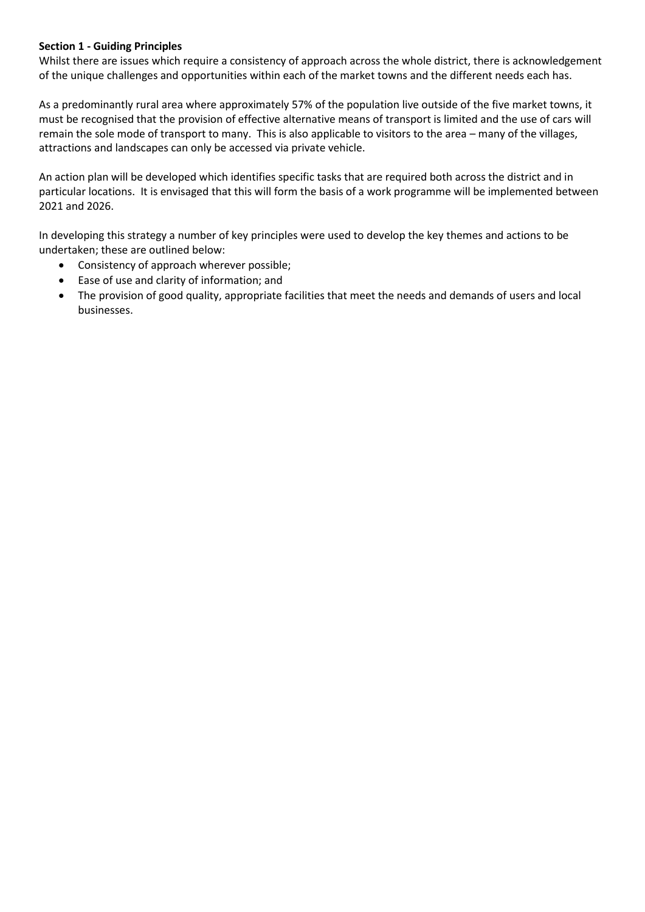## **Section 1 - Guiding Principles**

Whilst there are issues which require a consistency of approach across the whole district, there is acknowledgement of the unique challenges and opportunities within each of the market towns and the different needs each has.

As a predominantly rural area where approximately 57% of the population live outside of the five market towns, it must be recognised that the provision of effective alternative means of transport is limited and the use of cars will remain the sole mode of transport to many. This is also applicable to visitors to the area – many of the villages, attractions and landscapes can only be accessed via private vehicle.

An action plan will be developed which identifies specific tasks that are required both across the district and in particular locations. It is envisaged that this will form the basis of a work programme will be implemented between 2021 and 2026.

In developing this strategy a number of key principles were used to develop the key themes and actions to be undertaken; these are outlined below:

- Consistency of approach wherever possible;
- Ease of use and clarity of information; and
- The provision of good quality, appropriate facilities that meet the needs and demands of users and local businesses.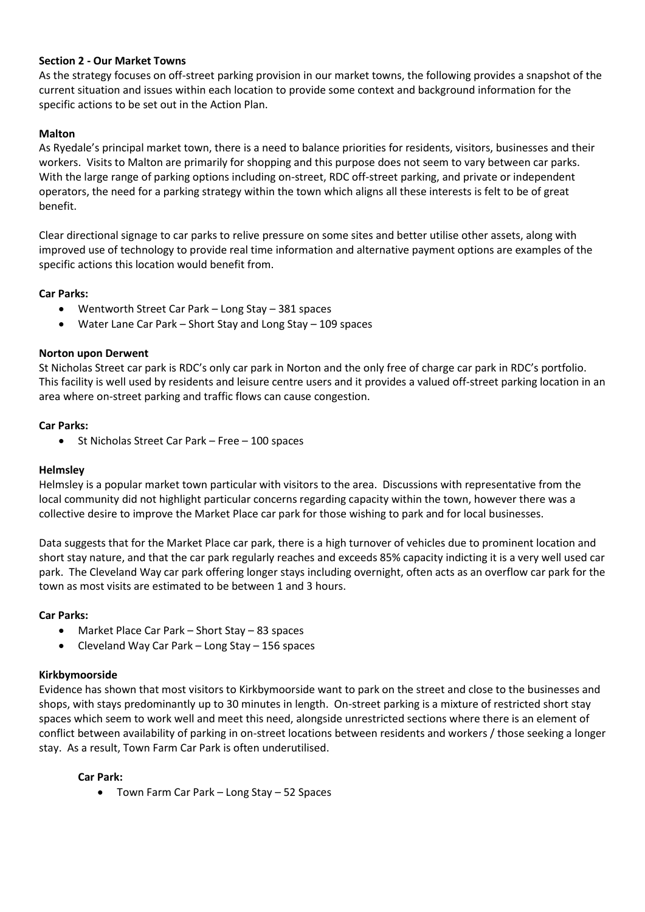## **Section 2 - Our Market Towns**

As the strategy focuses on off-street parking provision in our market towns, the following provides a snapshot of the current situation and issues within each location to provide some context and background information for the specific actions to be set out in the Action Plan.

## **Malton**

As Ryedale's principal market town, there is a need to balance priorities for residents, visitors, businesses and their workers. Visits to Malton are primarily for shopping and this purpose does not seem to vary between car parks. With the large range of parking options including on-street, RDC off-street parking, and private or independent operators, the need for a parking strategy within the town which aligns all these interests is felt to be of great benefit.

Clear directional signage to car parks to relive pressure on some sites and better utilise other assets, along with improved use of technology to provide real time information and alternative payment options are examples of the specific actions this location would benefit from.

## **Car Parks:**

- Wentworth Street Car Park Long Stay 381 spaces
- Water Lane Car Park Short Stay and Long Stay 109 spaces

## **Norton upon Derwent**

St Nicholas Street car park is RDC's only car park in Norton and the only free of charge car park in RDC's portfolio. This facility is well used by residents and leisure centre users and it provides a valued off-street parking location in an area where on-street parking and traffic flows can cause congestion.

## **Car Parks:**

St Nicholas Street Car Park – Free – 100 spaces

## **Helmsley**

Helmsley is a popular market town particular with visitors to the area. Discussions with representative from the local community did not highlight particular concerns regarding capacity within the town, however there was a collective desire to improve the Market Place car park for those wishing to park and for local businesses.

Data suggests that for the Market Place car park, there is a high turnover of vehicles due to prominent location and short stay nature, and that the car park regularly reaches and exceeds 85% capacity indicting it is a very well used car park. The Cleveland Way car park offering longer stays including overnight, often acts as an overflow car park for the town as most visits are estimated to be between 1 and 3 hours.

## **Car Parks:**

- Market Place Car Park Short Stay 83 spaces
- Cleveland Way Car Park Long Stay 156 spaces

## **Kirkbymoorside**

Evidence has shown that most visitors to Kirkbymoorside want to park on the street and close to the businesses and shops, with stays predominantly up to 30 minutes in length. On-street parking is a mixture of restricted short stay spaces which seem to work well and meet this need, alongside unrestricted sections where there is an element of conflict between availability of parking in on-street locations between residents and workers / those seeking a longer stay. As a result, Town Farm Car Park is often underutilised.

## **Car Park:**

• Town Farm Car Park – Long Stay – 52 Spaces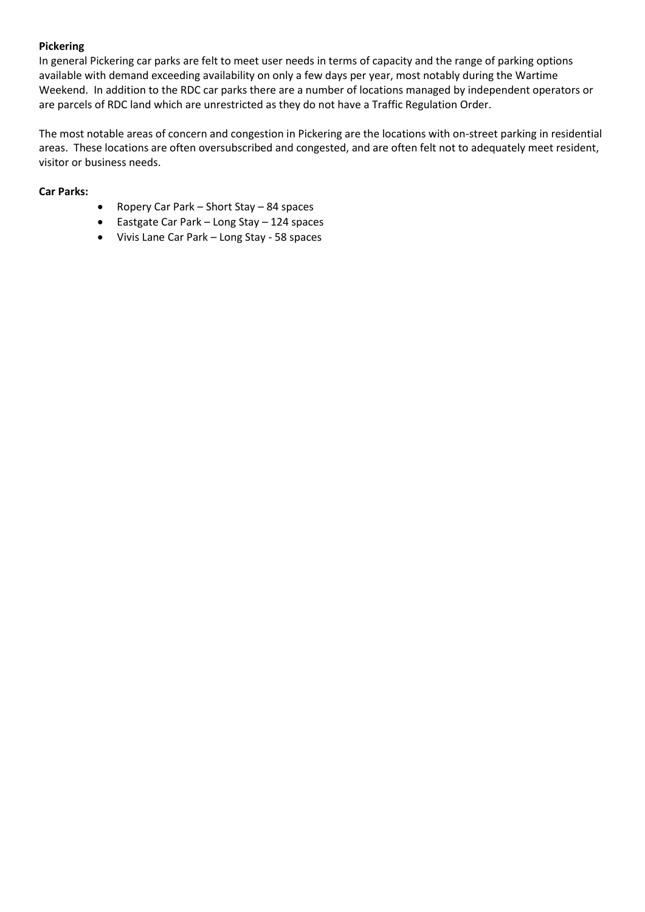## **Pickering**

In general Pickering car parks are felt to meet user needs in terms of capacity and the range of parking options available with demand exceeding availability on only a few days per year, most notably during the Wartime Weekend. In addition to the RDC car parks there are a number of locations managed by independent operators or are parcels of RDC land which are unrestricted as they do not have a Traffic Regulation Order.

The most notable areas of concern and congestion in Pickering are the locations with on-street parking in residential areas. These locations are often oversubscribed and congested, and are often felt not to adequately meet resident, visitor or business needs.

#### **Car Parks:**

- Ropery Car Park Short Stay 84 spaces
- Eastgate Car Park Long Stay 124 spaces
- Vivis Lane Car Park Long Stay 58 spaces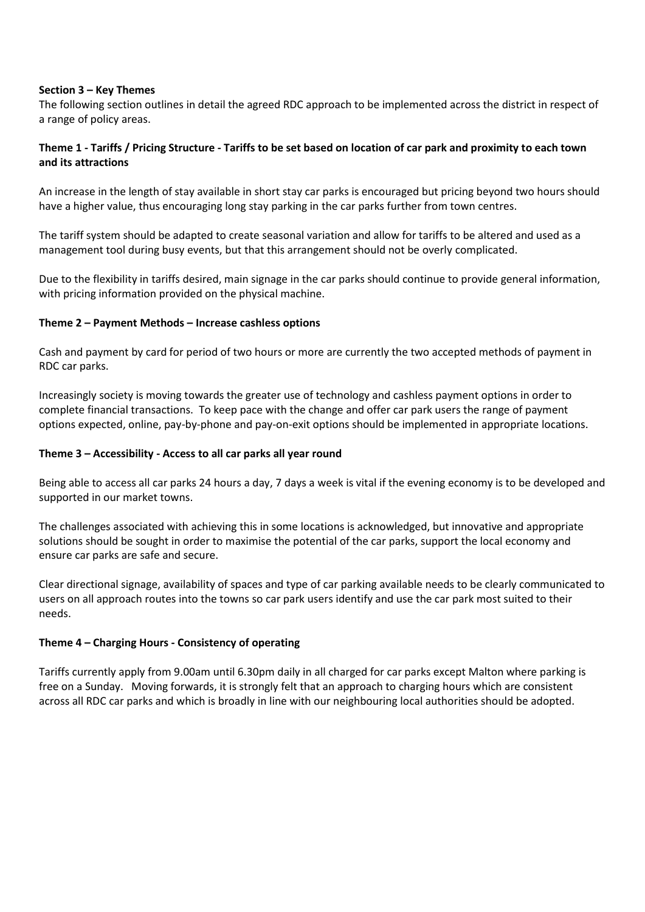#### **Section 3 – Key Themes**

The following section outlines in detail the agreed RDC approach to be implemented across the district in respect of a range of policy areas.

## **Theme 1 - Tariffs / Pricing Structure - Tariffs to be set based on location of car park and proximity to each town and its attractions**

An increase in the length of stay available in short stay car parks is encouraged but pricing beyond two hours should have a higher value, thus encouraging long stay parking in the car parks further from town centres.

The tariff system should be adapted to create seasonal variation and allow for tariffs to be altered and used as a management tool during busy events, but that this arrangement should not be overly complicated.

Due to the flexibility in tariffs desired, main signage in the car parks should continue to provide general information, with pricing information provided on the physical machine.

#### **Theme 2 – Payment Methods – Increase cashless options**

Cash and payment by card for period of two hours or more are currently the two accepted methods of payment in RDC car parks.

Increasingly society is moving towards the greater use of technology and cashless payment options in order to complete financial transactions. To keep pace with the change and offer car park users the range of payment options expected, online, pay-by-phone and pay-on-exit options should be implemented in appropriate locations.

#### **Theme 3 – Accessibility - Access to all car parks all year round**

Being able to access all car parks 24 hours a day, 7 days a week is vital if the evening economy is to be developed and supported in our market towns.

The challenges associated with achieving this in some locations is acknowledged, but innovative and appropriate solutions should be sought in order to maximise the potential of the car parks, support the local economy and ensure car parks are safe and secure.

Clear directional signage, availability of spaces and type of car parking available needs to be clearly communicated to users on all approach routes into the towns so car park users identify and use the car park most suited to their needs.

#### **Theme 4 – Charging Hours - Consistency of operating**

Tariffs currently apply from 9.00am until 6.30pm daily in all charged for car parks except Malton where parking is free on a Sunday. Moving forwards, it is strongly felt that an approach to charging hours which are consistent across all RDC car parks and which is broadly in line with our neighbouring local authorities should be adopted.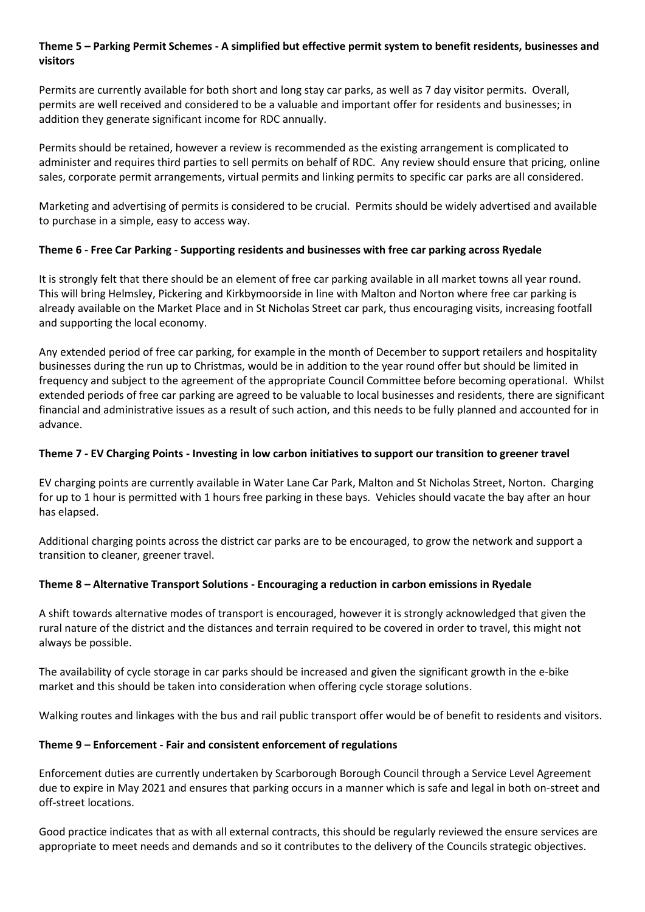## **Theme 5 – Parking Permit Schemes - A simplified but effective permit system to benefit residents, businesses and visitors**

Permits are currently available for both short and long stay car parks, as well as 7 day visitor permits. Overall, permits are well received and considered to be a valuable and important offer for residents and businesses; in addition they generate significant income for RDC annually.

Permits should be retained, however a review is recommended as the existing arrangement is complicated to administer and requires third parties to sell permits on behalf of RDC. Any review should ensure that pricing, online sales, corporate permit arrangements, virtual permits and linking permits to specific car parks are all considered.

Marketing and advertising of permits is considered to be crucial. Permits should be widely advertised and available to purchase in a simple, easy to access way.

## **Theme 6 - Free Car Parking - Supporting residents and businesses with free car parking across Ryedale**

It is strongly felt that there should be an element of free car parking available in all market towns all year round. This will bring Helmsley, Pickering and Kirkbymoorside in line with Malton and Norton where free car parking is already available on the Market Place and in St Nicholas Street car park, thus encouraging visits, increasing footfall and supporting the local economy.

Any extended period of free car parking, for example in the month of December to support retailers and hospitality businesses during the run up to Christmas, would be in addition to the year round offer but should be limited in frequency and subject to the agreement of the appropriate Council Committee before becoming operational. Whilst extended periods of free car parking are agreed to be valuable to local businesses and residents, there are significant financial and administrative issues as a result of such action, and this needs to be fully planned and accounted for in advance.

# **Theme 7 - EV Charging Points - Investing in low carbon initiatives to support our transition to greener travel**

EV charging points are currently available in Water Lane Car Park, Malton and St Nicholas Street, Norton. Charging for up to 1 hour is permitted with 1 hours free parking in these bays. Vehicles should vacate the bay after an hour has elapsed.

Additional charging points across the district car parks are to be encouraged, to grow the network and support a transition to cleaner, greener travel.

## **Theme 8 – Alternative Transport Solutions - Encouraging a reduction in carbon emissions in Ryedale**

A shift towards alternative modes of transport is encouraged, however it is strongly acknowledged that given the rural nature of the district and the distances and terrain required to be covered in order to travel, this might not always be possible.

The availability of cycle storage in car parks should be increased and given the significant growth in the e-bike market and this should be taken into consideration when offering cycle storage solutions.

Walking routes and linkages with the bus and rail public transport offer would be of benefit to residents and visitors.

## **Theme 9 – Enforcement - Fair and consistent enforcement of regulations**

Enforcement duties are currently undertaken by Scarborough Borough Council through a Service Level Agreement due to expire in May 2021 and ensures that parking occurs in a manner which is safe and legal in both on-street and off-street locations.

Good practice indicates that as with all external contracts, this should be regularly reviewed the ensure services are appropriate to meet needs and demands and so it contributes to the delivery of the Councils strategic objectives.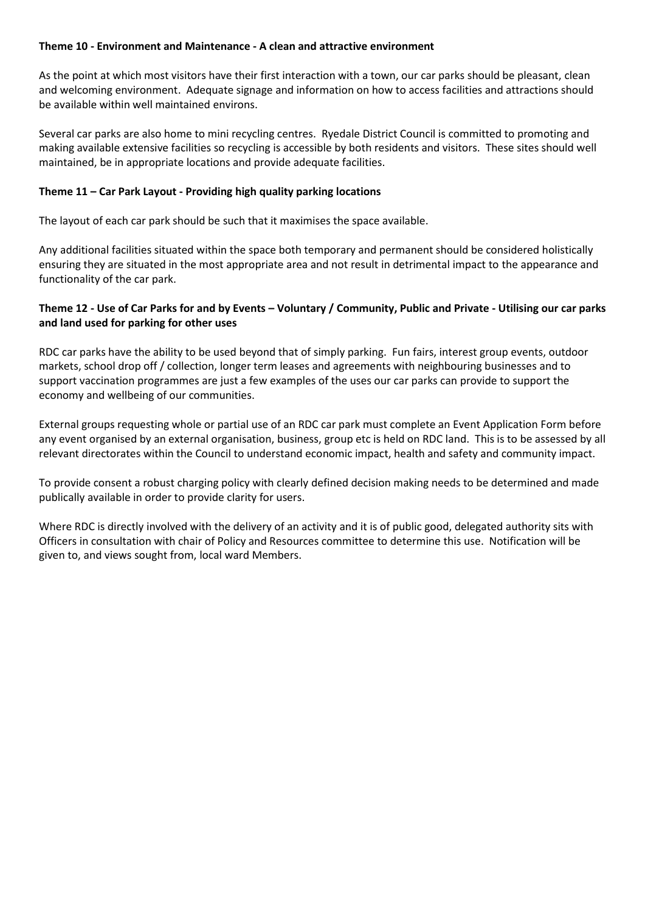## **Theme 10 - Environment and Maintenance - A clean and attractive environment**

As the point at which most visitors have their first interaction with a town, our car parks should be pleasant, clean and welcoming environment. Adequate signage and information on how to access facilities and attractions should be available within well maintained environs.

Several car parks are also home to mini recycling centres. Ryedale District Council is committed to promoting and making available extensive facilities so recycling is accessible by both residents and visitors. These sites should well maintained, be in appropriate locations and provide adequate facilities.

## **Theme 11 – Car Park Layout - Providing high quality parking locations**

The layout of each car park should be such that it maximises the space available.

Any additional facilities situated within the space both temporary and permanent should be considered holistically ensuring they are situated in the most appropriate area and not result in detrimental impact to the appearance and functionality of the car park.

## **Theme 12 - Use of Car Parks for and by Events – Voluntary / Community, Public and Private - Utilising our car parks and land used for parking for other uses**

RDC car parks have the ability to be used beyond that of simply parking. Fun fairs, interest group events, outdoor markets, school drop off / collection, longer term leases and agreements with neighbouring businesses and to support vaccination programmes are just a few examples of the uses our car parks can provide to support the economy and wellbeing of our communities.

External groups requesting whole or partial use of an RDC car park must complete an Event Application Form before any event organised by an external organisation, business, group etc is held on RDC land. This is to be assessed by all relevant directorates within the Council to understand economic impact, health and safety and community impact.

To provide consent a robust charging policy with clearly defined decision making needs to be determined and made publically available in order to provide clarity for users.

Where RDC is directly involved with the delivery of an activity and it is of public good, delegated authority sits with Officers in consultation with chair of Policy and Resources committee to determine this use. Notification will be given to, and views sought from, local ward Members.